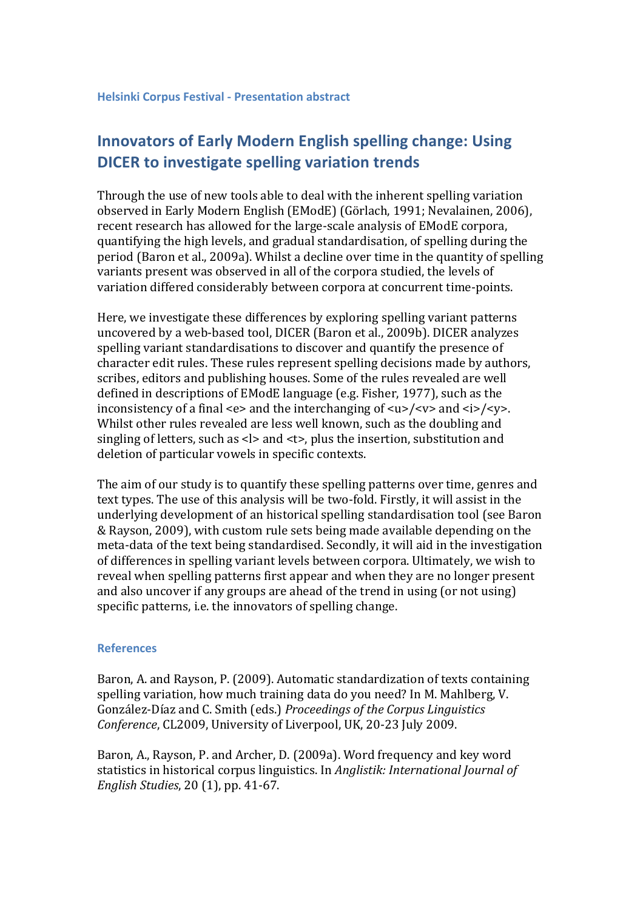## **Innovators of Early Modern English spelling change: Using DICER to investigate spelling variation trends**

Through the use of new tools able to deal with the inherent spelling variation observed in Early Modern English (EModE) (Görlach, 1991; Nevalainen, 2006), recent research has allowed for the large-scale analysis of EModE corpora, quantifying the high levels, and gradual standardisation, of spelling during the period (Baron et al., 2009a). Whilst a decline over time in the quantity of spelling variants present was observed in all of the corpora studied, the levels of variation differed considerably between corpora at concurrent time-points.

Here, we investigate these differences by exploring spelling variant patterns uncovered by a web-based tool, DICER (Baron et al., 2009b). DICER analyzes spelling variant standardisations to discover and quantify the presence of character edit rules. These rules represent spelling decisions made by authors, scribes, editors and publishing houses. Some of the rules revealed are well defined in descriptions of EModE language (e.g. Fisher, 1977), such as the inconsistency of a final  $\langle e \rangle$  and the interchanging of  $\langle u \rangle / \langle v \rangle$  and  $\langle i \rangle / \langle v \rangle$ . Whilst other rules revealed are less well known, such as the doubling and singling of letters, such as  $\langle$  and  $\langle$  t $\rangle$ , plus the insertion, substitution and deletion of particular vowels in specific contexts.

The aim of our study is to quantify these spelling patterns over time, genres and text types. The use of this analysis will be two-fold. Firstly, it will assist in the underlying development of an historical spelling standardisation tool (see Baron & Rayson, 2009), with custom rule sets being made available depending on the meta-data of the text being standardised. Secondly, it will aid in the investigation of differences in spelling variant levels between corpora. Ultimately, we wish to reveal when spelling patterns first appear and when they are no longer present and also uncover if any groups are ahead of the trend in using (or not using) specific patterns, i.e. the innovators of spelling change.

## **References**

Baron, A. and Rayson, P. (2009). Automatic standardization of texts containing spelling variation, how much training data do you need? In M. Mahlberg, V. González-Díaz and C. Smith (eds.) *Proceedings of the Corpus Linguistics Conference*, CL2009, University of Liverpool, UK, 20-23 July 2009.

Baron, A., Rayson, P. and Archer, D. (2009a). Word frequency and key word statistics in historical corpus linguistics. In *Anglistik: International Journal of English Studies*, 20 (1), pp. 41-67.